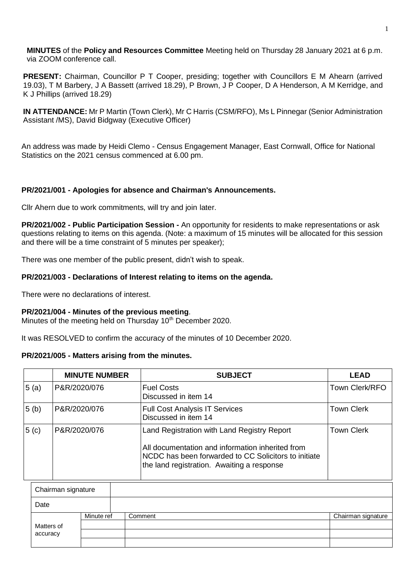**MINUTES** of the **Policy and Resources Committee** Meeting held on Thursday 28 January 2021 at 6 p.m. via ZOOM conference call.

**PRESENT:** Chairman, Councillor P T Cooper, presiding; together with Councillors E M Ahearn (arrived 19.03), T M Barbery, J A Bassett (arrived 18.29), P Brown, J P Cooper, D A Henderson, A M Kerridge, and K J Phillips (arrived 18.29)

**IN ATTENDANCE:** Mr P Martin (Town Clerk), Mr C Harris (CSM/RFO), Ms L Pinnegar (Senior Administration Assistant /MS), David Bidgway (Executive Officer)

An address was made by Heidi Clemo - Census Engagement Manager, East Cornwall, Office for National Statistics on the 2021 census commenced at 6.00 pm.

## **PR/2021/001 - Apologies for absence and Chairman's Announcements.**

Cllr Ahern due to work commitments, will try and join later.

**PR/2021/002 - Public Participation Session -** An opportunity for residents to make representations or ask questions relating to items on this agenda. (Note: a maximum of 15 minutes will be allocated for this session and there will be a time constraint of 5 minutes per speaker);

There was one member of the public present, didn't wish to speak.

## **PR/2021/003 - Declarations of Interest relating to items on the agenda.**

There were no declarations of interest.

## **PR/2021/004 - Minutes of the previous meeting**.

Minutes of the meeting held on Thursday 10<sup>th</sup> December 2020.

It was RESOLVED to confirm the accuracy of the minutes of 10 December 2020.

## **PR/2021/005 - Matters arising from the minutes.**

|                  | <b>MINUTE NUMBER</b> | <b>SUBJECT</b>                                                                                                                                                                                        | <b>LEAD</b>       |
|------------------|----------------------|-------------------------------------------------------------------------------------------------------------------------------------------------------------------------------------------------------|-------------------|
| 5(a)             | P&R/2020/076         | <b>Fuel Costs</b><br>Discussed in item 14                                                                                                                                                             | Town Clerk/RFO    |
| 5 <sub>(b)</sub> | P&R/2020/076         | <b>Full Cost Analysis IT Services</b><br>Discussed in item 14                                                                                                                                         | <b>Town Clerk</b> |
| 5(c)             | P&R/2020/076         | Land Registration with Land Registry Report<br>All documentation and information inherited from<br>NCDC has been forwarded to CC Solicitors to initiate<br>the land registration. Awaiting a response | <b>Town Clerk</b> |

| Chairman signature |            |            |         |                    |
|--------------------|------------|------------|---------|--------------------|
|                    | Date       |            |         |                    |
|                    |            | Minute ref | Comment | Chairman signature |
|                    | Matters of |            |         |                    |
|                    | accuracy   |            |         |                    |
|                    |            |            |         |                    |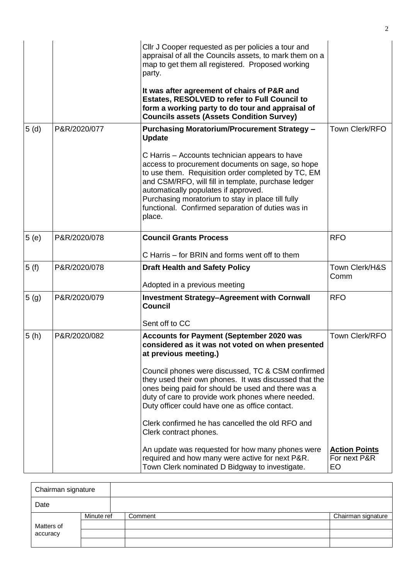|                  |              | Cllr J Cooper requested as per policies a tour and<br>appraisal of all the Councils assets, to mark them on a<br>map to get them all registered. Proposed working<br>party.<br>It was after agreement of chairs of P&R and<br>Estates, RESOLVED to refer to Full Council to<br>form a working party to do tour and appraisal of                                             |                                            |
|------------------|--------------|-----------------------------------------------------------------------------------------------------------------------------------------------------------------------------------------------------------------------------------------------------------------------------------------------------------------------------------------------------------------------------|--------------------------------------------|
| 5(d)             | P&R/2020/077 | <b>Councils assets (Assets Condition Survey)</b><br><b>Purchasing Moratorium/Procurement Strategy -</b><br><b>Update</b>                                                                                                                                                                                                                                                    | Town Clerk/RFO                             |
|                  |              | C Harris - Accounts technician appears to have<br>access to procurement documents on sage, so hope<br>to use them. Requisition order completed by TC, EM<br>and CSM/RFO, will fill in template, purchase ledger<br>automatically populates if approved.<br>Purchasing moratorium to stay in place till fully<br>functional. Confirmed separation of duties was in<br>place. |                                            |
| 5(e)             | P&R/2020/078 | <b>Council Grants Process</b>                                                                                                                                                                                                                                                                                                                                               | <b>RFO</b>                                 |
|                  |              | C Harris – for BRIN and forms went off to them                                                                                                                                                                                                                                                                                                                              |                                            |
| 5(f)             | P&R/2020/078 | <b>Draft Health and Safety Policy</b><br>Adopted in a previous meeting                                                                                                                                                                                                                                                                                                      | Town Clerk/H&S<br>Comm                     |
| 5 <sub>(g)</sub> | P&R/2020/079 | <b>Investment Strategy-Agreement with Cornwall</b><br><b>Council</b>                                                                                                                                                                                                                                                                                                        | <b>RFO</b>                                 |
|                  |              | Sent off to CC                                                                                                                                                                                                                                                                                                                                                              |                                            |
| 5(h)             | P&R/2020/082 | <b>Accounts for Payment (September 2020 was</b><br>considered as it was not voted on when presented<br>at previous meeting.)<br>Council phones were discussed, TC & CSM confirmed<br>they used their own phones. It was discussed that the<br>ones being paid for should be used and there was a                                                                            | Town Clerk/RFO                             |
|                  |              | duty of care to provide work phones where needed.<br>Duty officer could have one as office contact.                                                                                                                                                                                                                                                                         |                                            |
|                  |              | Clerk confirmed he has cancelled the old RFO and<br>Clerk contract phones.                                                                                                                                                                                                                                                                                                  |                                            |
|                  |              | An update was requested for how many phones were<br>required and how many were active for next P&R.<br>Town Clerk nominated D Bidgway to investigate.                                                                                                                                                                                                                       | <b>Action Points</b><br>For next P&R<br>EO |

| Chairman signature     |            |         |  |                    |
|------------------------|------------|---------|--|--------------------|
| Date                   |            |         |  |                    |
|                        | Minute ref | Comment |  | Chairman signature |
| Matters of<br>accuracy |            |         |  |                    |
|                        |            |         |  |                    |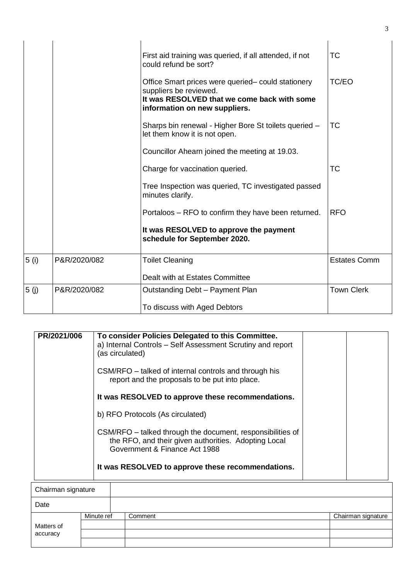|      |              | First aid training was queried, if all attended, if not<br>could refund be sort?                                                                             | <b>TC</b>           |
|------|--------------|--------------------------------------------------------------------------------------------------------------------------------------------------------------|---------------------|
|      |              | Office Smart prices were queried- could stationery<br>suppliers be reviewed.<br>It was RESOLVED that we come back with some<br>information on new suppliers. | TC/EO               |
|      |              | Sharps bin renewal - Higher Bore St toilets queried -<br>let them know it is not open.                                                                       | <b>TC</b>           |
|      |              | Councillor Ahearn joined the meeting at 19.03.                                                                                                               |                     |
|      |              | Charge for vaccination queried.                                                                                                                              | <b>TC</b>           |
|      |              | Tree Inspection was queried, TC investigated passed<br>minutes clarify.                                                                                      |                     |
|      |              | Portaloos – RFO to confirm they have been returned.                                                                                                          | <b>RFO</b>          |
|      |              | It was RESOLVED to approve the payment<br>schedule for September 2020.                                                                                       |                     |
| 5(i) | P&R/2020/082 | <b>Toilet Cleaning</b>                                                                                                                                       | <b>Estates Comm</b> |
|      |              | Dealt with at Estates Committee                                                                                                                              |                     |
| 5(j) | P&R/2020/082 | Outstanding Debt - Payment Plan                                                                                                                              | <b>Town Clerk</b>   |
|      |              | To discuss with Aged Debtors                                                                                                                                 |                     |

| PR/2021/006 | To consider Policies Delegated to this Committee.<br>a) Internal Controls - Self Assessment Scrutiny and report<br>(as circulated)<br>CSM/RFO – talked of internal controls and through his<br>report and the proposals to be put into place.<br>It was RESOLVED to approve these recommendations. |
|-------------|----------------------------------------------------------------------------------------------------------------------------------------------------------------------------------------------------------------------------------------------------------------------------------------------------|
|             |                                                                                                                                                                                                                                                                                                    |
|             | b) RFO Protocols (As circulated)                                                                                                                                                                                                                                                                   |
|             | CSM/RFO - talked through the document, responsibilities of<br>the RFO, and their given authorities. Adopting Local<br>Government & Finance Act 1988                                                                                                                                                |
|             | It was RESOLVED to approve these recommendations.                                                                                                                                                                                                                                                  |
|             |                                                                                                                                                                                                                                                                                                    |

| Chairman signature |            |         |                    |
|--------------------|------------|---------|--------------------|
| Date               |            |         |                    |
|                    | Minute ref | Comment | Chairman signature |
| Matters of         |            |         |                    |
| accuracy           |            |         |                    |
|                    |            |         |                    |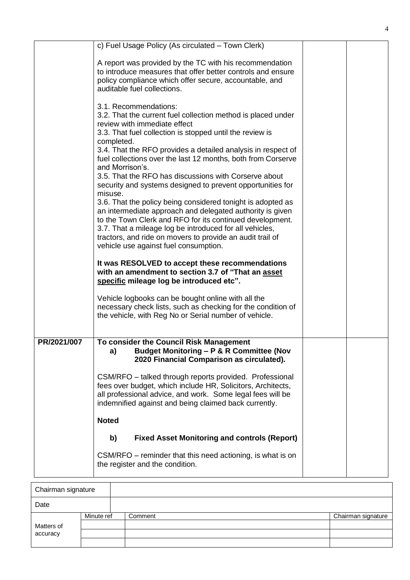|             | c) Fuel Usage Policy (As circulated - Town Clerk)                                                                                                                                                                                                                                                                                                  |  |
|-------------|----------------------------------------------------------------------------------------------------------------------------------------------------------------------------------------------------------------------------------------------------------------------------------------------------------------------------------------------------|--|
|             | A report was provided by the TC with his recommendation<br>to introduce measures that offer better controls and ensure<br>policy compliance which offer secure, accountable, and<br>auditable fuel collections.                                                                                                                                    |  |
|             | 3.1. Recommendations:<br>3.2. That the current fuel collection method is placed under<br>review with immediate effect<br>3.3. That fuel collection is stopped until the review is<br>completed.<br>3.4. That the RFO provides a detailed analysis in respect of<br>fuel collections over the last 12 months, both from Corserve<br>and Morrison's. |  |
|             | 3.5. That the RFO has discussions with Corserve about<br>security and systems designed to prevent opportunities for<br>misuse.<br>3.6. That the policy being considered tonight is adopted as<br>an intermediate approach and delegated authority is given                                                                                         |  |
|             | to the Town Clerk and RFO for its continued development.<br>3.7. That a mileage log be introduced for all vehicles,<br>tractors, and ride on movers to provide an audit trail of<br>vehicle use against fuel consumption.                                                                                                                          |  |
|             | It was RESOLVED to accept these recommendations<br>with an amendment to section 3.7 of "That an asset<br>specific mileage log be introduced etc".                                                                                                                                                                                                  |  |
|             | Vehicle logbooks can be bought online with all the<br>necessary check lists, such as checking for the condition of<br>the vehicle, with Reg No or Serial number of vehicle.                                                                                                                                                                        |  |
| PR/2021/007 | To consider the Council Risk Management<br>Budget Monitoring - P & R Committee (Nov<br>a)<br>2020 Financial Comparison as circulated).                                                                                                                                                                                                             |  |
|             | CSM/RFO - talked through reports provided. Professional<br>fees over budget, which include HR, Solicitors, Architects,<br>all professional advice, and work. Some legal fees will be<br>indemnified against and being claimed back currently.                                                                                                      |  |
|             | <b>Noted</b>                                                                                                                                                                                                                                                                                                                                       |  |
|             | <b>Fixed Asset Monitoring and controls (Report)</b><br>b)                                                                                                                                                                                                                                                                                          |  |
|             | CSM/RFO – reminder that this need actioning, is what is on<br>the register and the condition.                                                                                                                                                                                                                                                      |  |

4

| Chairman signature |            |         |                    |  |  |
|--------------------|------------|---------|--------------------|--|--|
| Date               |            |         |                    |  |  |
|                    | Minute ref | Comment | Chairman signature |  |  |
| Matters of         |            |         |                    |  |  |
| accuracy           |            |         |                    |  |  |
|                    |            |         |                    |  |  |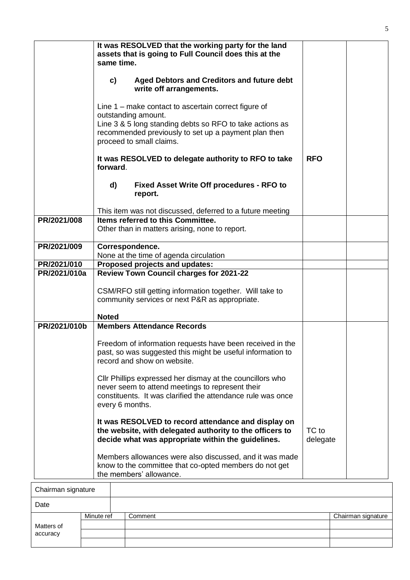|                             |              | It was RESOLVED that the working party for the land<br>assets that is going to Full Council does this at the<br>same time.<br>Aged Debtors and Creditors and future debt<br>c)<br>write off arrangements.<br>Line $1$ – make contact to ascertain correct figure of<br>outstanding amount.<br>Line 3 & 5 long standing debts so RFO to take actions as<br>recommended previously to set up a payment plan then<br>proceed to small claims.<br>It was RESOLVED to delegate authority to RFO to take<br>forward.<br>Fixed Asset Write Off procedures - RFO to<br>d)<br>report. | <b>RFO</b>        |                    |
|-----------------------------|--------------|------------------------------------------------------------------------------------------------------------------------------------------------------------------------------------------------------------------------------------------------------------------------------------------------------------------------------------------------------------------------------------------------------------------------------------------------------------------------------------------------------------------------------------------------------------------------------|-------------------|--------------------|
|                             |              | This item was not discussed, deferred to a future meeting                                                                                                                                                                                                                                                                                                                                                                                                                                                                                                                    |                   |                    |
| PR/2021/008                 |              | Items referred to this Committee.                                                                                                                                                                                                                                                                                                                                                                                                                                                                                                                                            |                   |                    |
|                             |              | Other than in matters arising, none to report.                                                                                                                                                                                                                                                                                                                                                                                                                                                                                                                               |                   |                    |
| PR/2021/009                 |              | Correspondence.                                                                                                                                                                                                                                                                                                                                                                                                                                                                                                                                                              |                   |                    |
|                             |              | None at the time of agenda circulation                                                                                                                                                                                                                                                                                                                                                                                                                                                                                                                                       |                   |                    |
| PR/2021/010<br>PR/2021/010a |              | Proposed projects and updates:<br><b>Review Town Council charges for 2021-22</b>                                                                                                                                                                                                                                                                                                                                                                                                                                                                                             |                   |                    |
|                             | <b>Noted</b> | CSM/RFO still getting information together. Will take to<br>community services or next P&R as appropriate.                                                                                                                                                                                                                                                                                                                                                                                                                                                                   |                   |                    |
| PR/2021/010b                |              | <b>Members Attendance Records</b>                                                                                                                                                                                                                                                                                                                                                                                                                                                                                                                                            |                   |                    |
|                             |              | Freedom of information requests have been received in the<br>past, so was suggested this might be useful information to<br>record and show on website.<br>Cllr Phillips expressed her dismay at the councillors who                                                                                                                                                                                                                                                                                                                                                          |                   |                    |
|                             |              | never seem to attend meetings to represent their<br>constituents. It was clarified the attendance rule was once<br>every 6 months.                                                                                                                                                                                                                                                                                                                                                                                                                                           |                   |                    |
|                             |              | It was RESOLVED to record attendance and display on<br>the website, with delegated authority to the officers to<br>decide what was appropriate within the guidelines.                                                                                                                                                                                                                                                                                                                                                                                                        | TC to<br>delegate |                    |
|                             |              | Members allowances were also discussed, and it was made<br>know to the committee that co-opted members do not get<br>the members' allowance.                                                                                                                                                                                                                                                                                                                                                                                                                                 |                   |                    |
| Chairman signature          |              |                                                                                                                                                                                                                                                                                                                                                                                                                                                                                                                                                                              |                   |                    |
|                             |              |                                                                                                                                                                                                                                                                                                                                                                                                                                                                                                                                                                              |                   |                    |
| Date                        |              |                                                                                                                                                                                                                                                                                                                                                                                                                                                                                                                                                                              |                   |                    |
|                             | Minute ref   | Comment                                                                                                                                                                                                                                                                                                                                                                                                                                                                                                                                                                      |                   | Chairman signature |

Matters of accuracy

| ï<br>I       |  |
|--------------|--|
| ×<br>۰.<br>۰ |  |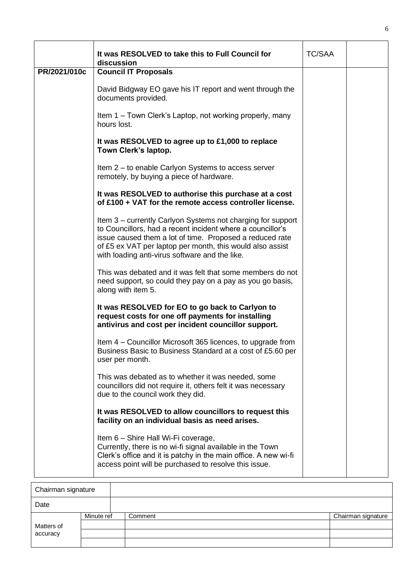|              | It was RESOLVED to take this to Full Council for<br>discussion                                                                                                                                                                                                                                       | <b>TC/SAA</b> |  |
|--------------|------------------------------------------------------------------------------------------------------------------------------------------------------------------------------------------------------------------------------------------------------------------------------------------------------|---------------|--|
| PR/2021/010c | <b>Council IT Proposals</b>                                                                                                                                                                                                                                                                          |               |  |
|              | David Bidgway EO gave his IT report and went through the<br>documents provided.                                                                                                                                                                                                                      |               |  |
|              | Item 1 – Town Clerk's Laptop, not working properly, many<br>hours lost.                                                                                                                                                                                                                              |               |  |
|              | It was RESOLVED to agree up to £1,000 to replace<br>Town Clerk's laptop.                                                                                                                                                                                                                             |               |  |
|              | Item 2 – to enable Carlyon Systems to access server<br>remotely, by buying a piece of hardware.                                                                                                                                                                                                      |               |  |
|              | It was RESOLVED to authorise this purchase at a cost<br>of £100 + VAT for the remote access controller license.                                                                                                                                                                                      |               |  |
|              | Item 3 – currently Carlyon Systems not charging for support<br>to Councillors, had a recent incident where a councillor's<br>issue caused them a lot of time. Proposed a reduced rate<br>of £5 ex VAT per laptop per month, this would also assist<br>with loading anti-virus software and the like. |               |  |
|              | This was debated and it was felt that some members do not<br>need support, so could they pay on a pay as you go basis,<br>along with item 5.                                                                                                                                                         |               |  |
|              | It was RESOLVED for EO to go back to Carlyon to<br>request costs for one off payments for installing<br>antivirus and cost per incident councillor support.                                                                                                                                          |               |  |
|              | Item 4 – Councillor Microsoft 365 licences, to upgrade from<br>Business Basic to Business Standard at a cost of £5.60 per<br>user per month.                                                                                                                                                         |               |  |
|              | This was debated as to whether it was needed, some<br>councillors did not require it, others felt it was necessary<br>due to the council work they did.                                                                                                                                              |               |  |
|              | It was RESOLVED to allow councillors to request this<br>facility on an individual basis as need arises.                                                                                                                                                                                              |               |  |
|              | Item 6 - Shire Hall Wi-Fi coverage,<br>Currently, there is no wi-fi signal available in the Town<br>Clerk's office and it is patchy in the main office. A new wi-fi<br>access point will be purchased to resolve this issue.                                                                         |               |  |

| Chairman signature     |            |         |                    |
|------------------------|------------|---------|--------------------|
| Date                   |            |         |                    |
| Matters of<br>accuracy | Minute ref | Comment | Chairman signature |
|                        |            |         |                    |
|                        |            |         |                    |
|                        |            |         |                    |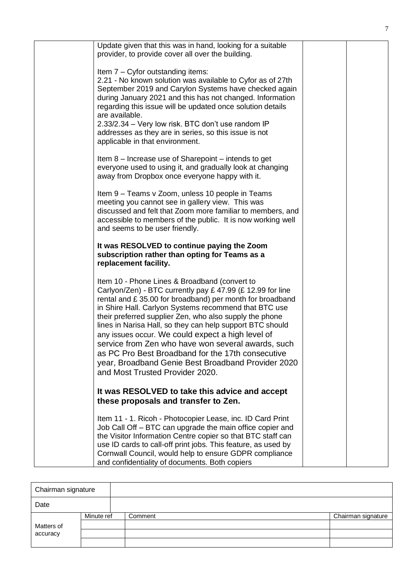| Update given that this was in hand, looking for a suitable<br>provider, to provide cover all over the building.                                                                                                                                                                                                                                                                                                                                                                                                                                                                                                   |  |
|-------------------------------------------------------------------------------------------------------------------------------------------------------------------------------------------------------------------------------------------------------------------------------------------------------------------------------------------------------------------------------------------------------------------------------------------------------------------------------------------------------------------------------------------------------------------------------------------------------------------|--|
| Item 7 - Cyfor outstanding items:<br>2.21 - No known solution was available to Cyfor as of 27th<br>September 2019 and Carylon Systems have checked again<br>during January 2021 and this has not changed. Information<br>regarding this issue will be updated once solution details<br>are available.<br>2.33/2.34 - Very low risk. BTC don't use random IP<br>addresses as they are in series, so this issue is not<br>applicable in that environment.                                                                                                                                                           |  |
| Item 8 – Increase use of Sharepoint – intends to get<br>everyone used to using it, and gradually look at changing<br>away from Dropbox once everyone happy with it.                                                                                                                                                                                                                                                                                                                                                                                                                                               |  |
| Item 9 - Teams v Zoom, unless 10 people in Teams<br>meeting you cannot see in gallery view. This was<br>discussed and felt that Zoom more familiar to members, and<br>accessible to members of the public. It is now working well<br>and seems to be user friendly.                                                                                                                                                                                                                                                                                                                                               |  |
| It was RESOLVED to continue paying the Zoom<br>subscription rather than opting for Teams as a<br>replacement facility.                                                                                                                                                                                                                                                                                                                                                                                                                                                                                            |  |
| Item 10 - Phone Lines & Broadband (convert to<br>Carlyon/Zen) - BTC currently pay £ 47.99 (£ 12.99 for line<br>rental and £35.00 for broadband) per month for broadband<br>in Shire Hall. Carlyon Systems recommend that BTC use<br>their preferred supplier Zen, who also supply the phone<br>lines in Narisa Hall, so they can help support BTC should<br>any issues occur. We could expect a high level of<br>service from Zen who have won several awards, such<br>as PC Pro Best Broadband for the 17th consecutive<br>year, Broadband Genie Best Broadband Provider 2020<br>and Most Trusted Provider 2020. |  |
| It was RESOLVED to take this advice and accept<br>these proposals and transfer to Zen.                                                                                                                                                                                                                                                                                                                                                                                                                                                                                                                            |  |
| Item 11 - 1. Ricoh - Photocopier Lease, inc. ID Card Print<br>Job Call Off – BTC can upgrade the main office copier and<br>the Visitor Information Centre copier so that BTC staff can<br>use ID cards to call-off print jobs. This feature, as used by<br>Cornwall Council, would help to ensure GDPR compliance<br>and confidentiality of documents. Both copiers                                                                                                                                                                                                                                               |  |

| Chairman signature     |            |         |                    |
|------------------------|------------|---------|--------------------|
| Date                   |            |         |                    |
| Matters of<br>accuracy | Minute ref | Comment | Chairman signature |
|                        |            |         |                    |
|                        |            |         |                    |
|                        |            |         |                    |